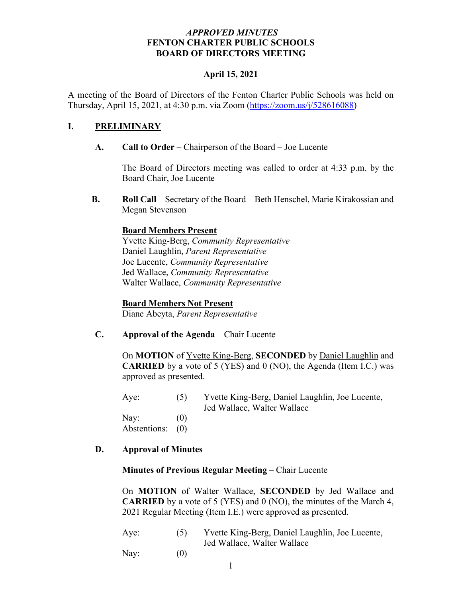## *APPROVED MINUTES* **FENTON CHARTER PUBLIC SCHOOLS BOARD OF DIRECTORS MEETING**

#### **April 15, 2021**

A meeting of the Board of Directors of the Fenton Charter Public Schools was held on Thursday, April 15, 2021, at 4:30 p.m. via Zoom (https://zoom.us/j/528616088)

#### **I. PRELIMINARY**

**A. Call to Order –** Chairperson of the Board – Joe Lucente

The Board of Directors meeting was called to order at 4:33 p.m. by the Board Chair, Joe Lucente

**B. Roll Call** – Secretary of the Board – Beth Henschel, Marie Kirakossian and Megan Stevenson

## **Board Members Present**

Yvette King-Berg, *Community Representative* Daniel Laughlin, *Parent Representative* Joe Lucente, *Community Representative* Jed Wallace, *Community Representative* Walter Wallace, *Community Representative* 

#### **Board Members Not Present**

Diane Abeyta, *Parent Representative*

**C. Approval of the Agenda** – Chair Lucente

On **MOTION** of Yvette King-Berg, **SECONDED** by Daniel Laughlin and **CARRIED** by a vote of 5 (YES) and 0 (NO), the Agenda (Item I.C.) was approved as presented.

Aye: (5) Yvette King-Berg, Daniel Laughlin, Joe Lucente, Jed Wallace, Walter Wallace

Nay:  $(0)$ Abstentions: (0)

#### **D. Approval of Minutes**

#### **Minutes of Previous Regular Meeting** – Chair Lucente

On **MOTION** of Walter Wallace, **SECONDED** by Jed Wallace and **CARRIED** by a vote of 5 (YES) and 0 (NO), the minutes of the March 4, 2021 Regular Meeting (Item I.E.) were approved as presented.

| Aye: | Yvette King-Berg, Daniel Laughlin, Joe Lucente, |
|------|-------------------------------------------------|
|      | Jed Wallace, Walter Wallace                     |
|      |                                                 |

Nay:  $(0)$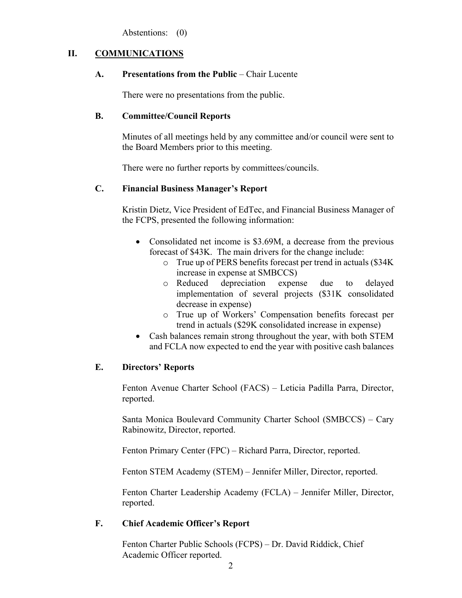Abstentions: (0)

## **II. COMMUNICATIONS**

## **A. Presentations from the Public** – Chair Lucente

There were no presentations from the public.

## **B. Committee/Council Reports**

Minutes of all meetings held by any committee and/or council were sent to the Board Members prior to this meeting.

There were no further reports by committees/councils.

## **C. Financial Business Manager's Report**

Kristin Dietz, Vice President of EdTec, and Financial Business Manager of the FCPS, presented the following information:

- Consolidated net income is \$3.69M, a decrease from the previous forecast of \$43K. The main drivers for the change include:
	- o True up of PERS benefits forecast per trend in actuals (\$34K increase in expense at SMBCCS)
	- o Reduced depreciation expense due to delayed implementation of several projects (\$31K consolidated decrease in expense)
	- o True up of Workers' Compensation benefits forecast per trend in actuals (\$29K consolidated increase in expense)
- Cash balances remain strong throughout the year, with both STEM and FCLA now expected to end the year with positive cash balances

## **E. Directors' Reports**

Fenton Avenue Charter School (FACS) – Leticia Padilla Parra, Director, reported.

Santa Monica Boulevard Community Charter School (SMBCCS) – Cary Rabinowitz, Director, reported.

Fenton Primary Center (FPC) – Richard Parra, Director, reported.

Fenton STEM Academy (STEM) – Jennifer Miller, Director, reported.

Fenton Charter Leadership Academy (FCLA) – Jennifer Miller, Director, reported.

## **F. Chief Academic Officer's Report**

Fenton Charter Public Schools (FCPS) – Dr. David Riddick, Chief Academic Officer reported.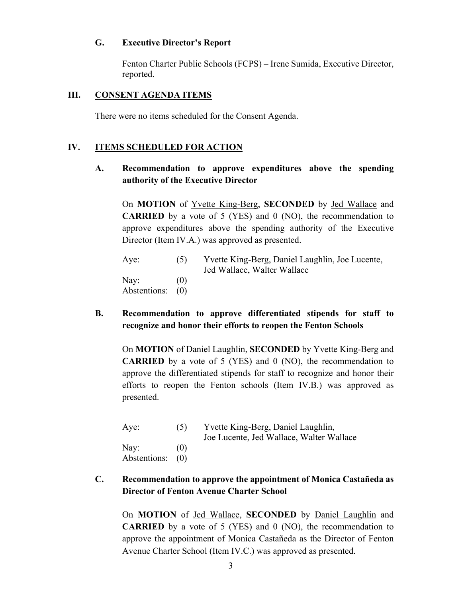## **G. Executive Director's Report**

Fenton Charter Public Schools (FCPS) – Irene Sumida, Executive Director, reported.

#### **III. CONSENT AGENDA ITEMS**

There were no items scheduled for the Consent Agenda.

#### **IV. ITEMS SCHEDULED FOR ACTION**

## **A. Recommendation to approve expenditures above the spending authority of the Executive Director**

On **MOTION** of Yvette King-Berg, **SECONDED** by Jed Wallace and **CARRIED** by a vote of 5 (YES) and 0 (NO), the recommendation to approve expenditures above the spending authority of the Executive Director (Item IV.A.) was approved as presented.

| Aye:                     | (5) | Yvette King-Berg, Daniel Laughlin, Joe Lucente,<br>Jed Wallace, Walter Wallace |
|--------------------------|-----|--------------------------------------------------------------------------------|
| Nay:<br>Abstentions: (0) | (0) |                                                                                |

**B. Recommendation to approve differentiated stipends for staff to recognize and honor their efforts to reopen the Fenton Schools**

On **MOTION** of Daniel Laughlin, **SECONDED** by Yvette King-Berg and **CARRIED** by a vote of 5 (YES) and 0 (NO), the recommendation to approve the differentiated stipends for staff to recognize and honor their efforts to reopen the Fenton schools (Item IV.B.) was approved as presented.

| Aye:                     | (5) | Yvette King-Berg, Daniel Laughlin,<br>Joe Lucente, Jed Wallace, Walter Wallace |
|--------------------------|-----|--------------------------------------------------------------------------------|
| Nay:<br>Abstentions: (0) | (0) |                                                                                |

## **C. Recommendation to approve the appointment of Monica Castañeda as Director of Fenton Avenue Charter School**

On **MOTION** of Jed Wallace, **SECONDED** by Daniel Laughlin and **CARRIED** by a vote of 5 (YES) and 0 (NO), the recommendation to approve the appointment of Monica Castañeda as the Director of Fenton Avenue Charter School (Item IV.C.) was approved as presented.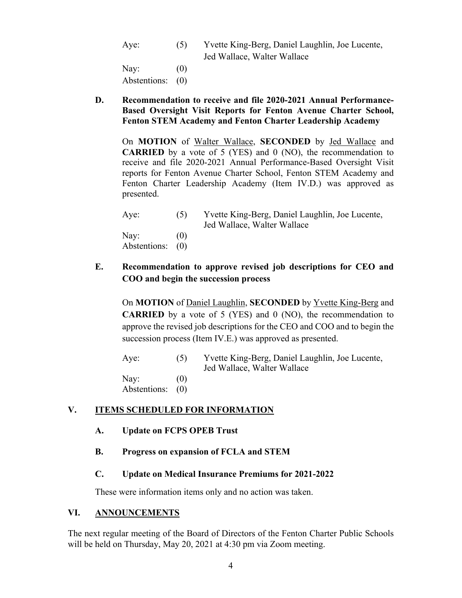Aye: (5) Yvette King-Berg, Daniel Laughlin, Joe Lucente, Jed Wallace, Walter Wallace

Nay:  $(0)$ Abstentions: (0)

**D. Recommendation to receive and file 2020-2021 Annual Performance-Based Oversight Visit Reports for Fenton Avenue Charter School, Fenton STEM Academy and Fenton Charter Leadership Academy**

On **MOTION** of Walter Wallace, **SECONDED** by Jed Wallace and **CARRIED** by a vote of 5 (YES) and 0 (NO), the recommendation to receive and file 2020-2021 Annual Performance-Based Oversight Visit reports for Fenton Avenue Charter School, Fenton STEM Academy and Fenton Charter Leadership Academy (Item IV.D.) was approved as presented.

| Aye:         | (5) | Yvette King-Berg, Daniel Laughlin, Joe Lucente,<br>Jed Wallace, Walter Wallace |
|--------------|-----|--------------------------------------------------------------------------------|
| Nay:         | (() |                                                                                |
| Abstentions: | (0) |                                                                                |

# **E. Recommendation to approve revised job descriptions for CEO and COO and begin the succession process**

On **MOTION** of Daniel Laughlin, **SECONDED** by Yvette King-Berg and **CARRIED** by a vote of 5 (YES) and 0 (NO), the recommendation to approve the revised job descriptions for the CEO and COO and to begin the succession process (Item IV.E.) was approved as presented.

Aye: (5) Yvette King-Berg, Daniel Laughlin, Joe Lucente, Jed Wallace, Walter Wallace Nay:  $(0)$ Abstentions: (0)

# **V. ITEMS SCHEDULED FOR INFORMATION**

- **A. Update on FCPS OPEB Trust**
- **B. Progress on expansion of FCLA and STEM**

## **C. Update on Medical Insurance Premiums for 2021-2022**

These were information items only and no action was taken.

## **VI. ANNOUNCEMENTS**

The next regular meeting of the Board of Directors of the Fenton Charter Public Schools will be held on Thursday, May 20, 2021 at 4:30 pm via Zoom meeting.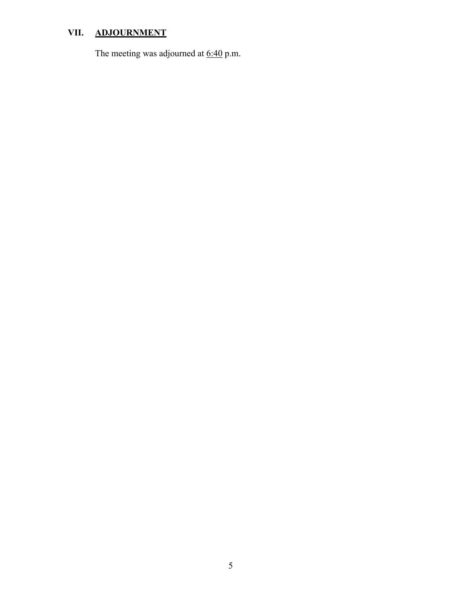# **VII. ADJOURNMENT**

The meeting was adjourned at  $6:40$  p.m.